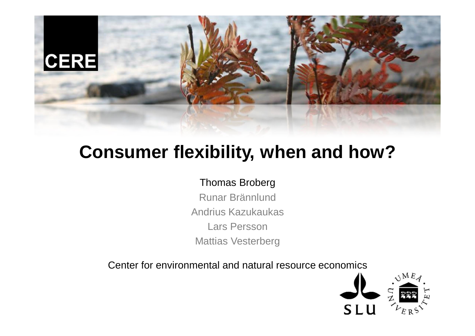

## **Consumer flexibility, when and how?**

### Thomas Broberg

Runar Brännlund Andrius Kazukaukas Lars Persson Mattias Vesterberg

Center for environmental and natural resource economics

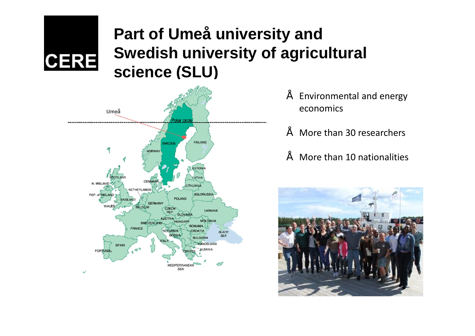## **Part of Umeå university and Swedish university of agricultural science (SLU)**



**CERE** 

- Environmental and energy economics
- More than 30 researchers
- More than 10 nationalities

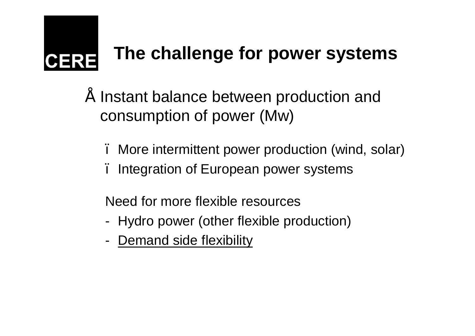

# **The challenge for power systems**

- Instant balance between production and consumption of power (Mw)
	- More intermittent power production (wind, solar)
	- Integration of European power systems

Need for more flexible resources

- Hydro power (other flexible production)
- Demand side flexibility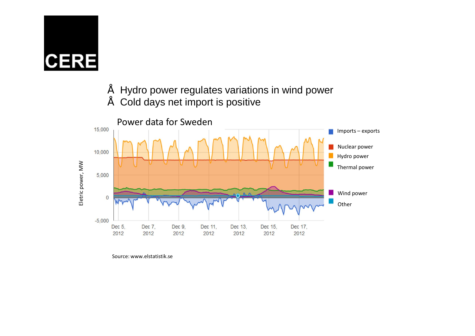

• Hydro power regulates variations in wind power

• Cold days net import is positive



Source: www.elstatistik.se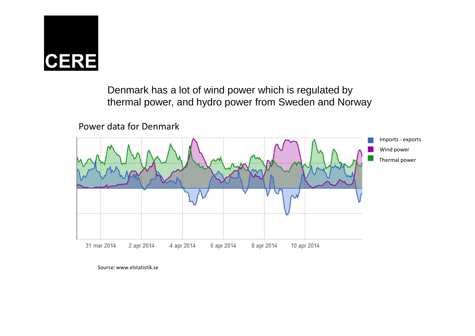

Denmark has a lot of wind power which is regulated by thermal power, and hydro power from Sweden and Norway

Power data for Denmark



Source: www.elstatistik.se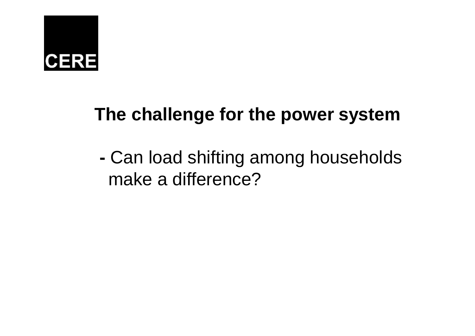# **CERE**

## **The challenge for the power system**

**-** Can load shifting among households make a difference?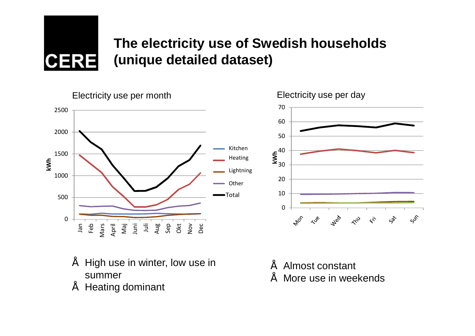

0

Jan Feb Mars

April

Maj Juni

500

## **The electricity use of Swedish households (unique detailed dataset)**

1000 1500 2000 2500 **kWh**



### Electricity use per month Electricity use per day

• High use in winter, low use in summer

Juli

• Heating dominant

- Almost constant
- More use in weekends

 $\hat{\mathbf{z}}$ 

 $\zeta_{\delta}^{\star}$ 

 $55$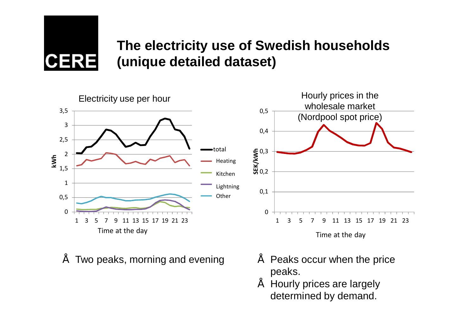

## **The electricity use of Swedish households (unique detailed dataset)**



- Two peaks, morning and evening **Fig. 20. In the same of Peaks occur when the price**
- peaks.
	- Hourly prices are largely determined by demand.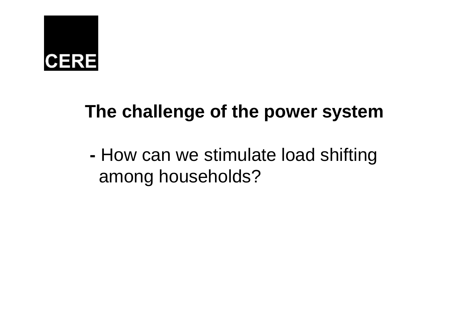

## **The challenge of the power system**

**-** How can we stimulate load shifting among households?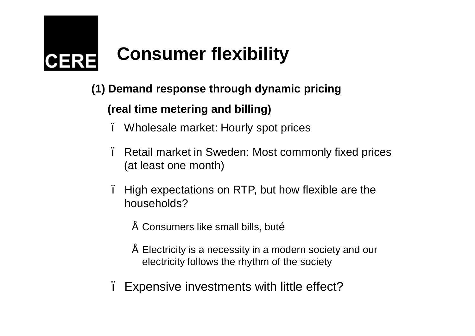# **Consumer flexibility**

### **(1) Demand response through dynamic pricing**

### **(real time metering and billing)**

- Wholesale market: Hourly spot prices
- Retail market in Sweden: Most commonly fixed prices (at least one month)
- High expectations on RTP, but how flexible are the households?
	- Consumers like small bills, butõ
	- Electricity is a necessity in a modern society and our electricity follows the rhythm of the society
- Expensive investments with little effect?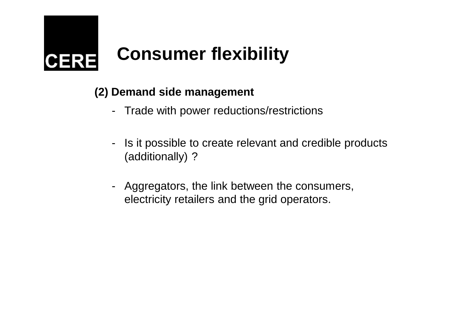

### **(2) Demand side management**

- Trade with power reductions/restrictions
- Is it possible to create relevant and credible products (additionally) ?
- Aggregators, the link between the consumers, electricity retailers and the grid operators.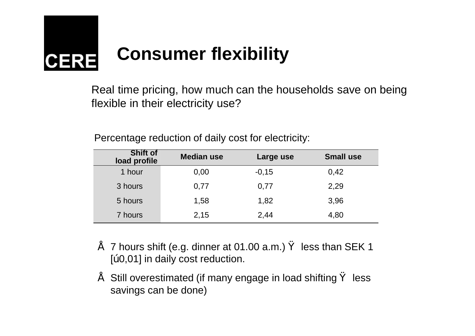

Real time pricing, how much can the households save on being flexible in their electricity use?

| <b>Shift of</b><br>load profile | <b>Median use</b> | Large use | <b>Small use</b> |
|---------------------------------|-------------------|-----------|------------------|
| 1 hour                          | 0,00              | $-0,15$   | 0,42             |
| 3 hours                         | 0,77              | 0,77      | 2,29             |
| 5 hours                         | 1,58              | 1,82      | 3,96             |
| 7 hours                         | 2,15              | 2,44      | 4,80             |

Percentage reduction of daily cost for electricity:

- 7 hours shift (e.g. dinner at 01.00 a.m.) less than SEK 1 [" 0,01] in daily cost reduction.
- Still overestimated (if many engage in load shifting less savings can be done)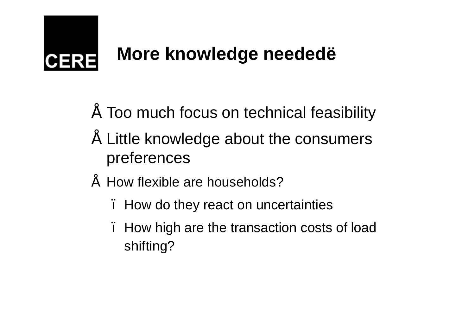## **More knowledge needed…** CERE

- Too much focus on technical feasibility
- Little knowledge about the consumers preferences
- How flexible are households?
	- How do they react on uncertainties
	- How high are the transaction costs of load shifting?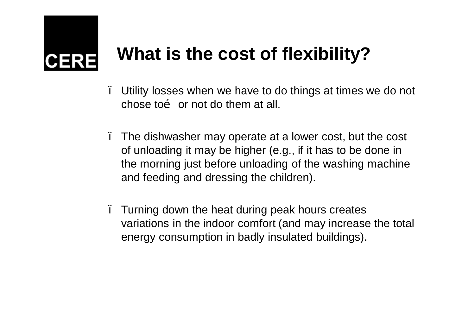## **What is the cost of flexibility?**

– Utility losses when we have to do things at times we do not chose to  $\tilde{0}$  or not do them at all.

- The dishwasher may operate at a lower cost, but the cost of unloading it may be higher (e.g., if it has to be done in the morning just before unloading of the washing machine and feeding and dressing the children).
- Turning down the heat during peak hours creates variations in the indoor comfort (and may increase the total energy consumption in badly insulated buildings).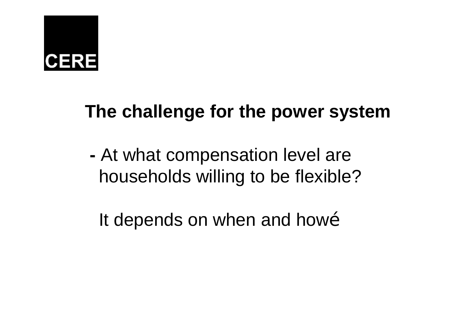# **CERE**

## **The challenge for the power system**

**-** At what compensation level are households willing to be flexible?

It depends on when and howo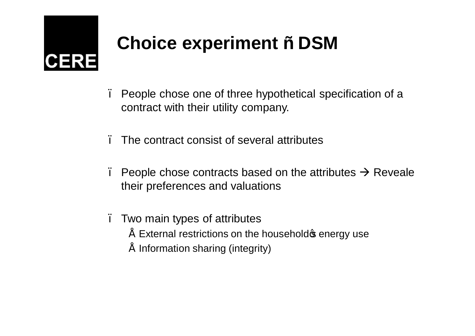# **Choice experiment – DSM**

– People chose one of three hypothetical specification of a contract with their utility company.

– The contract consist of several attributes

People chose contracts based on the attributes  $\rightarrow$  Reveale their preferences and valuations

– Two main types of attributes

- $\tilde{ }$  External restrictions on the household  $\phi$  energy use
- Information sharing (integrity)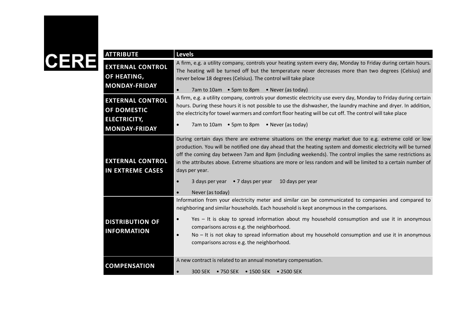| <b>ATTRIBUTE</b>                                                                             | <b>Levels</b>                                                                                                                                                                                                                                                                                                                                                                                                                                                                                                                                                                   |
|----------------------------------------------------------------------------------------------|---------------------------------------------------------------------------------------------------------------------------------------------------------------------------------------------------------------------------------------------------------------------------------------------------------------------------------------------------------------------------------------------------------------------------------------------------------------------------------------------------------------------------------------------------------------------------------|
| <b>EXTERNAL CONTROL</b><br>OF HEATING,<br><b>MONDAY-FRIDAY</b>                               | A firm, e.g. a utility company, controls your heating system every day, Monday to Friday during certain hours.<br>The heating will be turned off but the temperature never decreases more than two degrees (Celsius) and<br>never below 18 degrees (Celsius). The control will take place<br>7am to 10am • 5pm to 8pm • Never (as today)<br>$\bullet$                                                                                                                                                                                                                           |
| <b>EXTERNAL CONTROL</b><br><b>OF DOMESTIC</b><br><b>ELECTRICITY,</b><br><b>MONDAY-FRIDAY</b> | A firm, e.g. a utility company, controls your domestic electricity use every day, Monday to Friday during certain<br>hours. During these hours it is not possible to use the dishwasher, the laundry machine and dryer. In addition,<br>the electricity for towel warmers and comfort floor heating will be cut off. The control will take place<br>7am to 10am • 5pm to 8pm • Never (as today)<br>$\bullet$                                                                                                                                                                    |
| <b>EXTERNAL CONTROL</b><br><b>IN EXTREME CASES</b>                                           | During certain days there are extreme situations on the energy market due to e.g. extreme cold or low<br>production. You will be notified one day ahead that the heating system and domestic electricity will be turned<br>off the coming day between 7am and 8pm (including weekends). The control implies the same restrictions as<br>in the attributes above. Extreme situations are more or less random and will be limited to a certain number of<br>days per year.<br>3 days per year • 7 days per year<br>10 days per year<br>$\bullet$<br>Never (as today)<br>$\bullet$ |
| <b>DISTRIBUTION OF</b><br><b>INFORMATION</b>                                                 | Information from your electricity meter and similar can be communicated to companies and compared to<br>neighboring and similar households. Each household is kept anonymous in the comparisons.<br>Yes - It is okay to spread information about my household consumption and use it in anonymous<br>$\bullet$<br>comparisons across e.g. the neighborhood.<br>No - It is not okay to spread information about my household consumption and use it in anonymous<br>$\bullet$<br>comparisons across e.g. the neighborhood.                                                       |
| <b>COMPENSATION</b>                                                                          | A new contract is related to an annual monetary compensation.<br>$\bullet$<br>300 SEK • 750 SEK • 1500 SEK • 2500 SEK                                                                                                                                                                                                                                                                                                                                                                                                                                                           |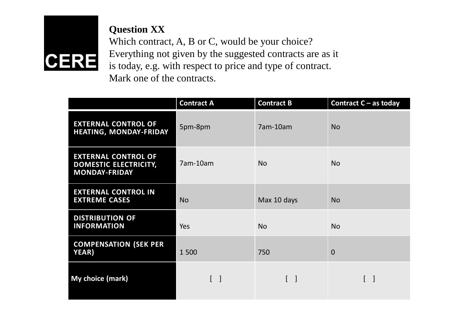

**Question XX** Which contract, A, B or C, would be your choice? Everything not given by the suggested contracts are as it is today, e.g. with respect to price and type of contract. Mark one of the contracts.

|                                                                                    | <b>Contract A</b>                 | <b>Contract B</b>               | <b>Contract C - as today</b>    |
|------------------------------------------------------------------------------------|-----------------------------------|---------------------------------|---------------------------------|
| <b>EXTERNAL CONTROL OF</b><br>HEATING, MONDAY-FRIDAY                               | 5pm-8pm                           | 7am-10am                        | <b>No</b>                       |
| <b>EXTERNAL CONTROL OF</b><br><b>DOMESTIC ELECTRICITY,</b><br><b>MONDAY-FRIDAY</b> | 7am-10am                          | <b>No</b>                       | <b>No</b>                       |
| <b>EXTERNAL CONTROL IN</b><br><b>EXTREME CASES</b>                                 | <b>No</b>                         | Max 10 days                     | <b>No</b>                       |
| <b>DISTRIBUTION OF</b><br><b>INFORMATION</b>                                       | Yes                               | <b>No</b>                       | <b>No</b>                       |
| <b>COMPENSATION (SEK PER</b><br>YEAR)                                              | 1500                              | 750                             | $\overline{0}$                  |
| My choice (mark)                                                                   | $\begin{bmatrix} 1 \end{bmatrix}$ | $\begin{bmatrix} \end{bmatrix}$ | $\begin{bmatrix} \end{bmatrix}$ |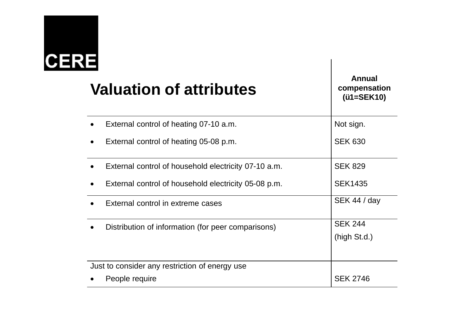# **CERE**

## **Valuation of attributes**

· External control of heating 07-10 a.m.

**Annual compensation (€1=SEK10)** Not sign.

| $\bullet$                                      | External control of heating 05-08 p.m.               | <b>SEK 630</b>  |
|------------------------------------------------|------------------------------------------------------|-----------------|
|                                                | External control of household electricity 07-10 a.m. | <b>SEK 829</b>  |
| $\bullet$                                      | External control of household electricity 05-08 p.m. | <b>SEK1435</b>  |
|                                                | External control in extreme cases                    | SEK 44 / day    |
|                                                | Distribution of information (for peer comparisons)   | <b>SEK 244</b>  |
|                                                |                                                      | (high St.d.)    |
|                                                |                                                      |                 |
| Just to consider any restriction of energy use |                                                      |                 |
|                                                | People require                                       | <b>SEK 2746</b> |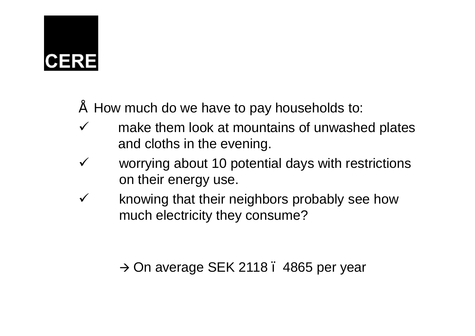- How much do we have to pay households to:
- $\checkmark$  make them look at mountains of unwashed plates and cloths in the evening.
- $\checkmark$  worrying about 10 potential days with restrictions on their energy use.
- $\checkmark$  knowing that their neighbors probably see how much electricity they consume?

 $\rightarrow$  On average SEK 2118 . 4865 per year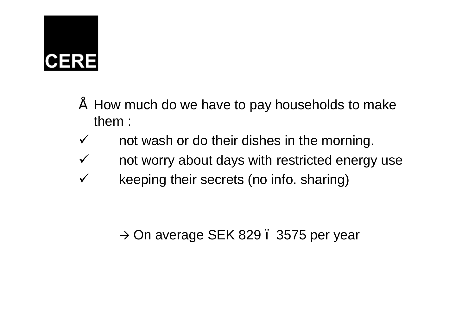- How much do we have to pay households to make them :
- $\checkmark$  not wash or do their dishes in the morning.
- $\checkmark$  not worry about days with restricted energy use
- $\checkmark$  keeping their secrets (no info. sharing)

 $\rightarrow$  On average SEK 829 . 3575 per year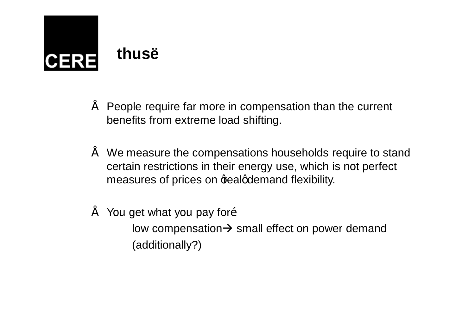## **thus… CERE**

- People require far more in compensation than the current benefits from extreme load shifting.
- We measure the compensations households require to stand certain restrictions in their energy use, which is not perfect measures of prices on gealgdemand flexibility.
- You get what you pay foro low compensation $\rightarrow$  small effect on power demand (additionally?)